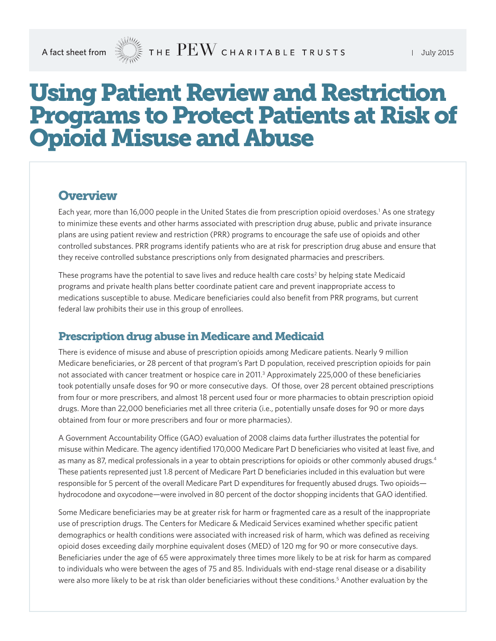# Using Patient Review and Restriction Programs to Protect Patients at Risk of Opioid Misuse and Abuse

#### **Overview**

Each year, more than 16,000 people in the United States die from prescription opioid overdoses.<sup>1</sup> As one strategy to minimize these events and other harms associated with prescription drug abuse, public and private insurance plans are using patient review and restriction (PRR) programs to encourage the safe use of opioids and other controlled substances. PRR programs identify patients who are at risk for prescription drug abuse and ensure that they receive controlled substance prescriptions only from designated pharmacies and prescribers.

These programs have the potential to save lives and reduce health care costs<sup>2</sup> by helping state Medicaid programs and private health plans better coordinate patient care and prevent inappropriate access to medications susceptible to abuse. Medicare beneficiaries could also benefit from PRR programs, but current federal law prohibits their use in this group of enrollees.

#### Prescription drug abuse in Medicare and Medicaid

There is evidence of misuse and abuse of prescription opioids among Medicare patients. Nearly 9 million Medicare beneficiaries, or 28 percent of that program's Part D population, received prescription opioids for pain not associated with cancer treatment or hospice care in 2011.<sup>3</sup> Approximately 225,000 of these beneficiaries took potentially unsafe doses for 90 or more consecutive days. Of those, over 28 percent obtained prescriptions from four or more prescribers, and almost 18 percent used four or more pharmacies to obtain prescription opioid drugs. More than 22,000 beneficiaries met all three criteria (i.e., potentially unsafe doses for 90 or more days obtained from four or more prescribers and four or more pharmacies).

A Government Accountability Office (GAO) evaluation of 2008 claims data further illustrates the potential for misuse within Medicare. The agency identified 170,000 Medicare Part D beneficiaries who visited at least five, and as many as 87, medical professionals in a year to obtain prescriptions for opioids or other commonly abused drugs.<sup>4</sup> These patients represented just 1.8 percent of Medicare Part D beneficiaries included in this evaluation but were responsible for 5 percent of the overall Medicare Part D expenditures for frequently abused drugs. Two opioids hydrocodone and oxycodone—were involved in 80 percent of the doctor shopping incidents that GAO identified.

Some Medicare beneficiaries may be at greater risk for harm or fragmented care as a result of the inappropriate use of prescription drugs. The Centers for Medicare & Medicaid Services examined whether specific patient demographics or health conditions were associated with increased risk of harm, which was defined as receiving opioid doses exceeding daily morphine equivalent doses (MED) of 120 mg for 90 or more consecutive days. Beneficiaries under the age of 65 were approximately three times more likely to be at risk for harm as compared to individuals who were between the ages of 75 and 85. Individuals with end-stage renal disease or a disability were also more likely to be at risk than older beneficiaries without these conditions.<sup>5</sup> Another evaluation by the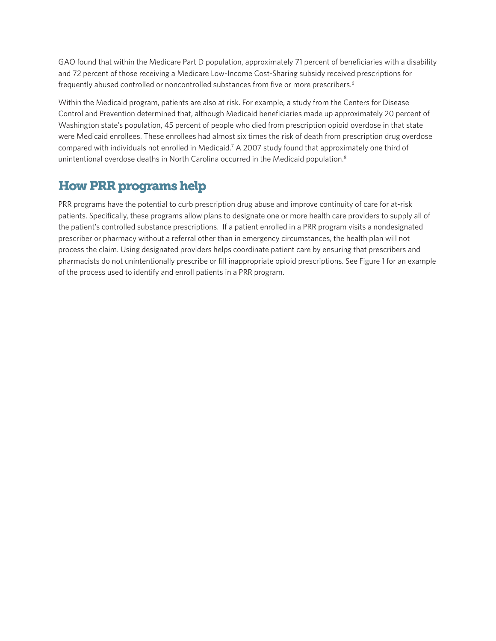GAO found that within the Medicare Part D population, approximately 71 percent of beneficiaries with a disability and 72 percent of those receiving a Medicare Low-Income Cost-Sharing subsidy received prescriptions for frequently abused controlled or noncontrolled substances from five or more prescribers.<sup>6</sup>

Within the Medicaid program, patients are also at risk. For example, a study from the Centers for Disease Control and Prevention determined that, although Medicaid beneficiaries made up approximately 20 percent of Washington state's population, 45 percent of people who died from prescription opioid overdose in that state were Medicaid enrollees. These enrollees had almost six times the risk of death from prescription drug overdose compared with individuals not enrolled in Medicaid.<sup>7</sup> A 2007 study found that approximately one third of unintentional overdose deaths in North Carolina occurred in the Medicaid population.8

# How PRR programs help

PRR programs have the potential to curb prescription drug abuse and improve continuity of care for at-risk patients. Specifically, these programs allow plans to designate one or more health care providers to supply all of the patient's controlled substance prescriptions. If a patient enrolled in a PRR program visits a nondesignated prescriber or pharmacy without a referral other than in emergency circumstances, the health plan will not process the claim. Using designated providers helps coordinate patient care by ensuring that prescribers and pharmacists do not unintentionally prescribe or fill inappropriate opioid prescriptions. See Figure 1 for an example of the process used to identify and enroll patients in a PRR program.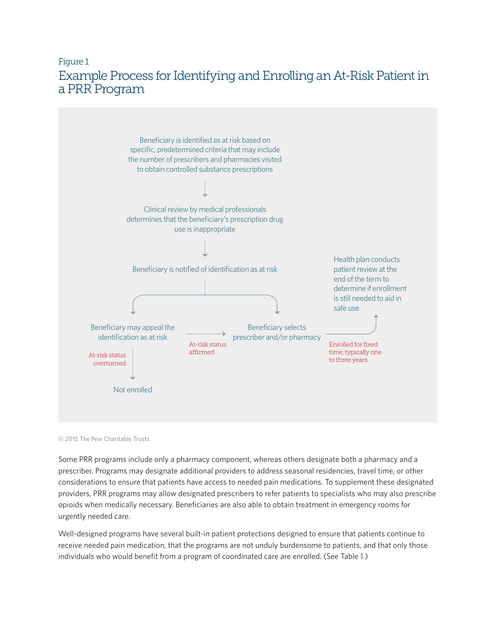## Figure 1 Example Process for Identifying and Enrolling an At-Risk Patient in a PRR Program



© 2015 The Pew Charitable Trusts

Some PRR programs include only a pharmacy component, whereas others designate both a pharmacy and a prescriber. Programs may designate additional providers to address seasonal residencies, travel time, or other considerations to ensure that patients have access to needed pain medications. To supplement these designated providers, PRR programs may allow designated prescribers to refer patients to specialists who may also prescribe opioids when medically necessary. Beneficiaries are also able to obtain treatment in emergency rooms for urgently needed care.

Well-designed programs have several built-in patient protections designed to ensure that patients continue to receive needed pain medication, that the programs are not unduly burdensome to patients, and that only those individuals who would benefit from a program of coordinated care are enrolled. (See Table 1.)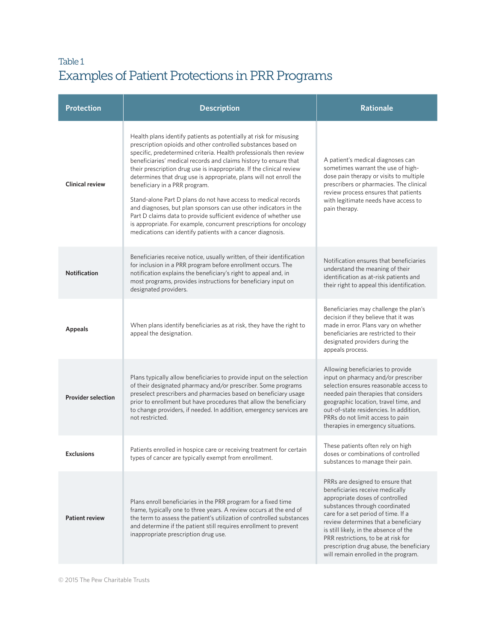# Table 1 Examples of Patient Protections in PRR Programs

| <b>Protection</b>         | <b>Description</b>                                                                                                                                                                                                                                                                                                                                                                                                                                                                                                                                                                                                                                                                                                                                                                                         | <b>Rationale</b>                                                                                                                                                                                                                                                                                                                                                                             |
|---------------------------|------------------------------------------------------------------------------------------------------------------------------------------------------------------------------------------------------------------------------------------------------------------------------------------------------------------------------------------------------------------------------------------------------------------------------------------------------------------------------------------------------------------------------------------------------------------------------------------------------------------------------------------------------------------------------------------------------------------------------------------------------------------------------------------------------------|----------------------------------------------------------------------------------------------------------------------------------------------------------------------------------------------------------------------------------------------------------------------------------------------------------------------------------------------------------------------------------------------|
| <b>Clinical review</b>    | Health plans identify patients as potentially at risk for misusing<br>prescription opioids and other controlled substances based on<br>specific, predetermined criteria. Health professionals then review<br>beneficiaries' medical records and claims history to ensure that<br>their prescription drug use is inappropriate. If the clinical review<br>determines that drug use is appropriate, plans will not enroll the<br>beneficiary in a PRR program.<br>Stand-alone Part D plans do not have access to medical records<br>and diagnoses, but plan sponsors can use other indicators in the<br>Part D claims data to provide sufficient evidence of whether use<br>is appropriate. For example, concurrent prescriptions for oncology<br>medications can identify patients with a cancer diagnosis. | A patient's medical diagnoses can<br>sometimes warrant the use of high-<br>dose pain therapy or visits to multiple<br>prescribers or pharmacies. The clinical<br>review process ensures that patients<br>with legitimate needs have access to<br>pain therapy.                                                                                                                               |
| <b>Notification</b>       | Beneficiaries receive notice, usually written, of their identification<br>for inclusion in a PRR program before enrollment occurs. The<br>notification explains the beneficiary's right to appeal and, in<br>most programs, provides instructions for beneficiary input on<br>designated providers.                                                                                                                                                                                                                                                                                                                                                                                                                                                                                                        | Notification ensures that beneficiaries<br>understand the meaning of their<br>identification as at-risk patients and<br>their right to appeal this identification.                                                                                                                                                                                                                           |
| <b>Appeals</b>            | When plans identify beneficiaries as at risk, they have the right to<br>appeal the designation.                                                                                                                                                                                                                                                                                                                                                                                                                                                                                                                                                                                                                                                                                                            | Beneficiaries may challenge the plan's<br>decision if they believe that it was<br>made in error. Plans vary on whether<br>beneficiaries are restricted to their<br>designated providers during the<br>appeals process.                                                                                                                                                                       |
| <b>Provider selection</b> | Plans typically allow beneficiaries to provide input on the selection<br>of their designated pharmacy and/or prescriber. Some programs<br>preselect prescribers and pharmacies based on beneficiary usage<br>prior to enrollment but have procedures that allow the beneficiary<br>to change providers, if needed. In addition, emergency services are<br>not restricted.                                                                                                                                                                                                                                                                                                                                                                                                                                  | Allowing beneficiaries to provide<br>input on pharmacy and/or prescriber<br>selection ensures reasonable access to<br>needed pain therapies that considers<br>geographic location, travel time, and<br>out-of-state residencies. In addition,<br>PRRs do not limit access to pain<br>therapies in emergency situations.                                                                      |
| <b>Exclusions</b>         | Patients enrolled in hospice care or receiving treatment for certain<br>types of cancer are typically exempt from enrollment.                                                                                                                                                                                                                                                                                                                                                                                                                                                                                                                                                                                                                                                                              | These patients often rely on high<br>doses or combinations of controlled<br>substances to manage their pain.                                                                                                                                                                                                                                                                                 |
| <b>Patient review</b>     | Plans enroll beneficiaries in the PRR program for a fixed time<br>frame, typically one to three years. A review occurs at the end of<br>the term to assess the patient's utilization of controlled substances<br>and determine if the patient still requires enrollment to prevent<br>inappropriate prescription drug use.                                                                                                                                                                                                                                                                                                                                                                                                                                                                                 | PRRs are designed to ensure that<br>beneficiaries receive medically<br>appropriate doses of controlled<br>substances through coordinated<br>care for a set period of time. If a<br>review determines that a beneficiary<br>is still likely, in the absence of the<br>PRR restrictions, to be at risk for<br>prescription drug abuse, the beneficiary<br>will remain enrolled in the program. |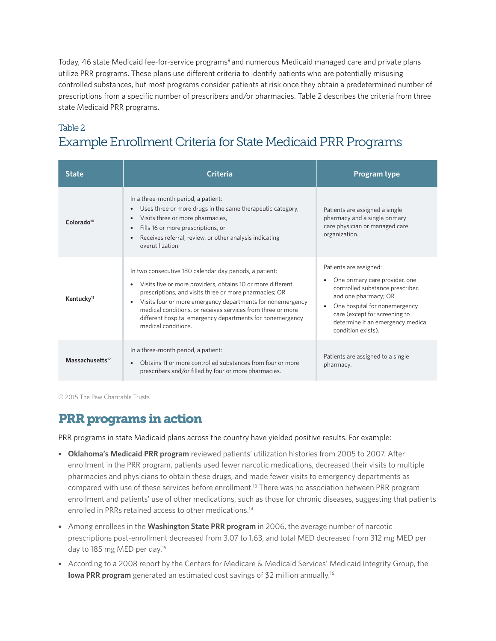Today, 46 state Medicaid fee-for-service programs<sup>9</sup> and numerous Medicaid managed care and private plans utilize PRR programs. These plans use different criteria to identify patients who are potentially misusing controlled substances, but most programs consider patients at risk once they obtain a predetermined number of prescriptions from a specific number of prescribers and/or pharmacies. Table 2 describes the criteria from three state Medicaid PRR [programs.](programs.PRR)

## Table 2 Example Enrollment Criteria for State Medicaid PRR Programs

| <b>State</b>                | Criteria                                                                                                                                                                                                                                                                                                                                                                                                         | Program type                                                                                                                                                                                                                                                                |
|-----------------------------|------------------------------------------------------------------------------------------------------------------------------------------------------------------------------------------------------------------------------------------------------------------------------------------------------------------------------------------------------------------------------------------------------------------|-----------------------------------------------------------------------------------------------------------------------------------------------------------------------------------------------------------------------------------------------------------------------------|
| Colorado <sup>10</sup>      | In a three-month period, a patient:<br>Uses three or more drugs in the same therapeutic category,<br>$\bullet$<br>Visits three or more pharmacies,<br>$\bullet$<br>Fills 16 or more prescriptions, or<br>$\bullet$<br>Receives referral, review, or other analysis indicating<br>$\bullet$<br>overutilization.                                                                                                   | Patients are assigned a single<br>pharmacy and a single primary<br>care physician or managed care<br>organization.                                                                                                                                                          |
| Kentucky <sup>11</sup>      | In two consecutive 180 calendar day periods, a patient:<br>Visits five or more providers, obtains 10 or more different<br>$\bullet$<br>prescriptions, and visits three or more pharmacies; OR<br>• Visits four or more emergency departments for nonemergency<br>medical conditions, or receives services from three or more<br>different hospital emergency departments for nonemergency<br>medical conditions. | Patients are assigned:<br>One primary care provider, one<br>$\bullet$<br>controlled substance prescriber,<br>and one pharmacy; OR<br>One hospital for nonemergency<br>$\bullet$<br>care (except for screening to<br>determine if an emergency medical<br>condition exists). |
| Massachusetts <sup>12</sup> | In a three-month period, a patient:<br>Obtains 11 or more controlled substances from four or more<br>$\bullet$<br>prescribers and/or filled by four or more pharmacies.                                                                                                                                                                                                                                          | Patients are assigned to a single<br>pharmacy.                                                                                                                                                                                                                              |

© 2015 The Pew Charitable Trusts

## [PRR](programs.PRR) programs in action

PRR programs in state Medicaid plans across the country have yielded positive results. For example:

- **Oklahoma's Medicaid PRR program** reviewed patients' utilization histories from 2005 to 2007. After enrollment in the PRR program, patients used fewer narcotic medications, decreased their visits to multiple pharmacies and physicians to obtain these drugs, and made fewer visits to emergency departments as compared with use of these services before enrollment.13 There was no association between PRR program enrollment and patients' use of other medications, such as those for chronic diseases, suggesting that patients enrolled in PRRs retained access to other medications.<sup>14</sup>
- Among enrollees in the **Washington State PRR program** in 2006, the average number of narcotic prescriptions post-enrollment decreased from 3.07 to 1.63, and total MED decreased from 312 mg MED per day to 185 mg MED per day.15
- According to a 2008 report by the Centers for Medicare & Medicaid Services' Medicaid Integrity Group, the **Iowa PRR program** generated an estimated cost savings of \$2 million annually.<sup>16</sup>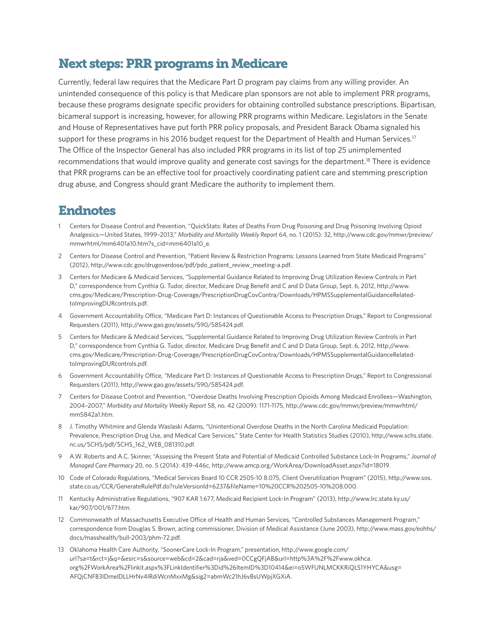## Next steps: PRR programs in Medicare

Currently, federal law requires that the Medicare Part D program pay claims from any willing provider. An unintended consequence of this policy is that Medicare plan sponsors are not able to implement PRR programs, because these programs designate specific providers for obtaining controlled substance prescriptions. Bipartisan, bicameral support is increasing, however, for allowing PRR programs within Medicare. Legislators in the Senate and House of Representatives have put forth PRR policy proposals, and President Barack Obama signaled his support for these programs in his 2016 budget request for the Department of Health and Human Services.<sup>17</sup> The Office of the Inspector General has also included PRR programs in its list of top 25 unimplemented recommendations that would improve quality and generate cost savings for the department.18 There is evidence that PRR programs can be an effective tool for proactively coordinating patient care and stemming prescription drug abuse, and Congress should grant Medicare the authority to implement them.

#### Endnotes

- 1 Centers for Disease Control and Prevention, "QuickStats: Rates of Deaths From Drug Poisoning and Drug Poisoning Involving Opioid Analgesics—United States, 1999–2013," *Morbidity and Mortality Weekly Report* 64, no. 1 (2015): 32, [http://www.cdc.gov/mmwr/preview/](http://www.cdc.gov/mmwr/preview/mmwrhtml/mm6401a10.htm?s_cid=mm6401a10_e.) [mmwrhtml/mm6401a10.htm?s\\_cid=mm6401a10\\_e.](http://www.cdc.gov/mmwr/preview/mmwrhtml/mm6401a10.htm?s_cid=mm6401a10_e.)
- 2 Centers for Disease Control and Prevention, "Patient Review & Restriction Programs: Lessons Learned from State Medicaid Programs" (2012), [http://www.cdc.gov/drugoverdose/pdf/pdo\\_patient\\_review\\_meeting-a.pdf.](http://www.cdc.gov/drugoverdose/pdf/pdo_patient_review_meeting-a.pdf)
- 3 Centers for Medicare & Medicaid Services, "Supplemental Guidance Related to Improving Drug Utilization Review Controls in Part D," correspondence from Cynthia G. Tudor, director, Medicare Drug Benefit and C and D Data Group, Sept. 6, 2012, [http://www.](http://www.cms.gov/Medicare/Prescription-Drug-Coverage/PrescriptionDrugCovContra/Downloads/HPMSSupplementalGuidanceRelated-toImprovingDURcontrols.pdf) [cms.gov/Medicare/Prescription-Drug-Coverage/PrescriptionDrugCovContra/Downloads/HPMSSupplementalGuidanceRelated](http://www.cms.gov/Medicare/Prescription-Drug-Coverage/PrescriptionDrugCovContra/Downloads/HPMSSupplementalGuidanceRelated-toImprovingDURcontrols.pdf)[toImprovingDURcontrols.pdf.](http://www.cms.gov/Medicare/Prescription-Drug-Coverage/PrescriptionDrugCovContra/Downloads/HPMSSupplementalGuidanceRelated-toImprovingDURcontrols.pdf)
- 4 Government Accountability Office, "Medicare Part D: Instances of Questionable Access to Prescription Drugs," Report to Congressional Requesters (2011), [http://www.gao.gov/assets/590/585424.pdf.](http://www.gao.gov/assets/590/585424.pdf)
- 5 Centers for Medicare & Medicaid Services, "Supplemental Guidance Related to Improving Drug Utilization Review Controls in Part D," correspondence from Cynthia G. Tudor, director, Medicare Drug Benefit and C and D Data Group, Sept. 6, 2012, [http://www.](http://www.cms.gov/Medicare/Prescription-Drug-Coverage/PrescriptionDrugCovContra/Downloads/HPMSSupplementalGuidanceRelated-toImprovingDURcontrols.pdf) [cms.gov/Medicare/Prescription-Drug-Coverage/PrescriptionDrugCovContra/Downloads/HPMSSupplementalGuidanceRelated](http://www.cms.gov/Medicare/Prescription-Drug-Coverage/PrescriptionDrugCovContra/Downloads/HPMSSupplementalGuidanceRelated-toImprovingDURcontrols.pdf)[toImprovingDURcontrols.pdf.](http://www.cms.gov/Medicare/Prescription-Drug-Coverage/PrescriptionDrugCovContra/Downloads/HPMSSupplementalGuidanceRelated-toImprovingDURcontrols.pdf)
- 6 Government Accountability Office, "Medicare Part D: Instances of Questionable Access to Prescription Drugs," Report to Congressional Requesters (2011), [http://www.gao.gov/assets/590/585424.pdf.](http://www.gao.gov/assets/590/585424.pdf)
- 7 Centers for Disease Control and Prevention, "Overdose Deaths Involving Prescription Opioids Among Medicaid Enrollees—Washington, 2004–2007," *Morbidity and Mortality Weekly Report* 58, no. 42 (2009): 1171-1175, [http://www.cdc.gov/mmwr/preview/mmwrhtml/](http://www.cdc.gov/mmwr/preview/mmwrhtml/mm5842a1.htm) [mm5842a1.htm.](http://www.cdc.gov/mmwr/preview/mmwrhtml/mm5842a1.htm)
- 8 J. Timothy Whitmire and Glenda Waslaski Adams, "Unintentional Overdose Deaths in the North Carolina Medicaid Population: Prevalence, Prescription Drug Use, and Medical Care Services," State Center for Health Statistics Studies (2010), [http://www.schs.state.](http://www.schs.state.nc.us/SCHS/pdf/SCHS_162_WEB_081310.pdf) [nc.us/SCHS/pdf/SCHS\\_162\\_WEB\\_081310.pdf.](http://www.schs.state.nc.us/SCHS/pdf/SCHS_162_WEB_081310.pdf)
- 9 A.W. Roberts and A.C. Skinner, "Assessing the Present State and Potential of Medicaid Controlled Substance Lock-In Programs," *Journal of Managed Care Pharmacy* 20, no. 5 (2014): 439-446c, <http://www.amcp.org/WorkArea/DownloadAsset.aspx?id=18019>.
- 10 Code of Colorado Regulations, "Medical Services Board 10 CCR 2505-10 8.075, Client Overutilization Program" (2015), [http://www.sos.](http://www.sos.state.co.us/CCR/GenerateRulePdf.do?ruleVersionId=6237&fileName=10%20CCR%202505-10%208.000.) [state.co.us/CCR/GenerateRulePdf.do?ruleVersionId=6237&fileName=10%20CCR%202505-10%208.000.](http://www.sos.state.co.us/CCR/GenerateRulePdf.do?ruleVersionId=6237&fileName=10%20CCR%202505-10%208.000.)
- 11 Kentucky Administrative Regulations, "907 KAR 1:677, Medicaid Recipient Lock-In Program" (2013), [http://www.lrc.state.ky.us/](http://www.lrc.state.ky.us/kar/907/001/677.htm) [kar/907/001/677.htm.](http://www.lrc.state.ky.us/kar/907/001/677.htm)
- 12 Commonwealth of Massachusetts Executive Office of Health and Human Services, "Controlled Substances Management Program," correspondence from Douglas S. Brown, acting commissioner, Division of Medical Assistance (June 2003), [http://www.mass.gov/eohhs/](http://www.mass.gov/eohhs/docs/masshealth/bull-2003/phm-72.pdf) [docs/masshealth/bull-2003/phm-72.pdf.](http://www.mass.gov/eohhs/docs/masshealth/bull-2003/phm-72.pdf)
- 13 Oklahoma Health Care Authority, "SoonerCare Lock-In Program," presentation, [http://www.google.com/](http://www.google.com/url?sa=t&rct=j&q=&esrc=s&source=web&cd=2&cad=rja&ved=0CCgQFjAB&url=http%3A%2F%2Fwww.okhca.org%2FWorkArea%2Flinkit.aspx%3FLinkIdentifier%3Did%26ItemID%3D10414&ei=o5WFUNLMCKKRiQLS1YHYCA&usg=AFQjCNFB3IDmelDLLHrNv4IRdiWcnMxxMg&sig2=abmWc21hJ6vBsUWpjXGXiA) [url?sa=t&rct=j&q=&esrc=s&source=web&cd=2&cad=rja&ved=0CCgQFjAB&url=http%3A%2F%2Fwww.okhca.](http://www.google.com/url?sa=t&rct=j&q=&esrc=s&source=web&cd=2&cad=rja&ved=0CCgQFjAB&url=http%3A%2F%2Fwww.okhca.org%2FWorkArea%2Flinkit.aspx%3FLinkIdentifier%3Did%26ItemID%3D10414&ei=o5WFUNLMCKKRiQLS1YHYCA&usg=AFQjCNFB3IDmelDLLHrNv4IRdiWcnMxxMg&sig2=abmWc21hJ6vBsUWpjXGXiA) [org%2FWorkArea%2Flinkit.aspx%3FLinkIdentifier%3Did%26ItemID%3D10414&ei=o5WFUNLMCKKRiQLS1YHYCA&usg=](http://www.google.com/url?sa=t&rct=j&q=&esrc=s&source=web&cd=2&cad=rja&ved=0CCgQFjAB&url=http%3A%2F%2Fwww.okhca.org%2FWorkArea%2Flinkit.aspx%3FLinkIdentifier%3Did%26ItemID%3D10414&ei=o5WFUNLMCKKRiQLS1YHYCA&usg=AFQjCNFB3IDmelDLLHrNv4IRdiWcnMxxMg&sig2=abmWc21hJ6vBsUWpjXGXiA) AFQjCNFB3IDmelDLLHrNv4IRdiWcnMxxMg&sig2=abmWc21hJ6vBsUWpjXGXiA.